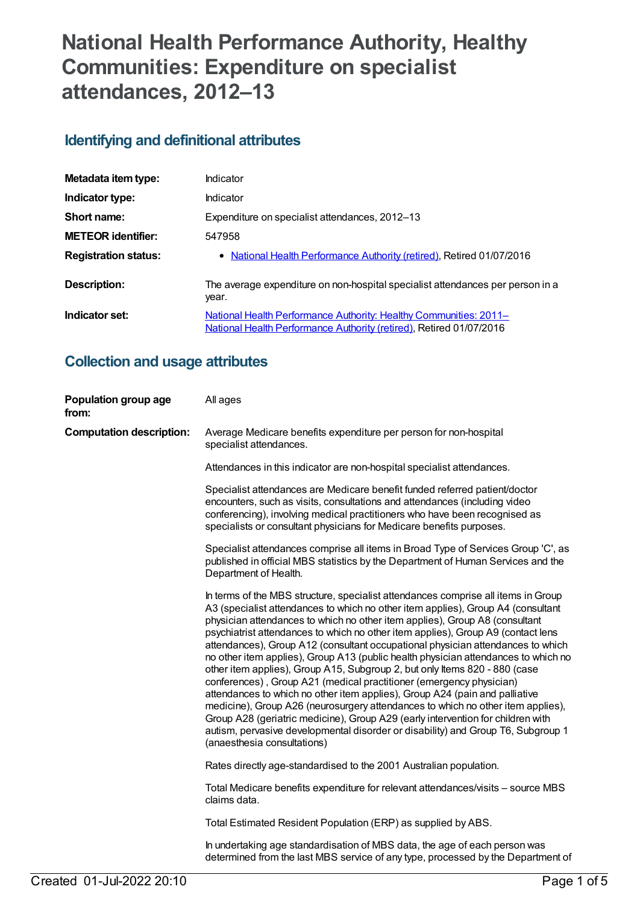# **National Health Performance Authority, Healthy Communities: Expenditure on specialist attendances, 2012–13**

# **Identifying and definitional attributes**

| Metadata item type:         | Indicator                                                                                                                                |
|-----------------------------|------------------------------------------------------------------------------------------------------------------------------------------|
| Indicator type:             | Indicator                                                                                                                                |
| Short name:                 | Expenditure on specialist attendances, 2012-13                                                                                           |
| <b>METEOR</b> identifier:   | 547958                                                                                                                                   |
| <b>Registration status:</b> | • National Health Performance Authority (retired), Retired 01/07/2016                                                                    |
| <b>Description:</b>         | The average expenditure on non-hospital specialist attendances per person in a<br>year.                                                  |
| Indicator set:              | National Health Performance Authority: Healthy Communities: 2011-<br>National Health Performance Authority (retired), Retired 01/07/2016 |

## **Collection and usage attributes**

| Population group age<br>from:   | All ages                                                                                                                                                                                                                                                                                                                                                                                                                                                                                                                                                                                                                                                                                                                                                                                                                                                                                                                                                                                                                                       |
|---------------------------------|------------------------------------------------------------------------------------------------------------------------------------------------------------------------------------------------------------------------------------------------------------------------------------------------------------------------------------------------------------------------------------------------------------------------------------------------------------------------------------------------------------------------------------------------------------------------------------------------------------------------------------------------------------------------------------------------------------------------------------------------------------------------------------------------------------------------------------------------------------------------------------------------------------------------------------------------------------------------------------------------------------------------------------------------|
| <b>Computation description:</b> | Average Medicare benefits expenditure per person for non-hospital<br>specialist attendances.                                                                                                                                                                                                                                                                                                                                                                                                                                                                                                                                                                                                                                                                                                                                                                                                                                                                                                                                                   |
|                                 | Attendances in this indicator are non-hospital specialist attendances.                                                                                                                                                                                                                                                                                                                                                                                                                                                                                                                                                                                                                                                                                                                                                                                                                                                                                                                                                                         |
|                                 | Specialist attendances are Medicare benefit funded referred patient/doctor<br>encounters, such as visits, consultations and attendances (including video<br>conferencing), involving medical practitioners who have been recognised as<br>specialists or consultant physicians for Medicare benefits purposes.                                                                                                                                                                                                                                                                                                                                                                                                                                                                                                                                                                                                                                                                                                                                 |
|                                 | Specialist attendances comprise all items in Broad Type of Services Group 'C', as<br>published in official MBS statistics by the Department of Human Services and the<br>Department of Health.                                                                                                                                                                                                                                                                                                                                                                                                                                                                                                                                                                                                                                                                                                                                                                                                                                                 |
|                                 | In terms of the MBS structure, specialist attendances comprise all items in Group<br>A3 (specialist attendances to which no other item applies), Group A4 (consultant<br>physician attendances to which no other item applies), Group A8 (consultant<br>psychiatrist attendances to which no other item applies), Group A9 (contact lens<br>attendances), Group A12 (consultant occupational physician attendances to which<br>no other item applies), Group A13 (public health physician attendances to which no<br>other item applies), Group A15, Subgroup 2, but only Items 820 - 880 (case<br>conferences), Group A21 (medical practitioner (emergency physician)<br>attendances to which no other item applies), Group A24 (pain and palliative<br>medicine), Group A26 (neurosurgery attendances to which no other item applies),<br>Group A28 (geriatric medicine), Group A29 (early intervention for children with<br>autism, pervasive developmental disorder or disability) and Group T6, Subgroup 1<br>(anaesthesia consultations) |
|                                 | Rates directly age-standardised to the 2001 Australian population.                                                                                                                                                                                                                                                                                                                                                                                                                                                                                                                                                                                                                                                                                                                                                                                                                                                                                                                                                                             |
|                                 | Total Medicare benefits expenditure for relevant attendances/visits – source MBS<br>claims data.                                                                                                                                                                                                                                                                                                                                                                                                                                                                                                                                                                                                                                                                                                                                                                                                                                                                                                                                               |
|                                 | Total Estimated Resident Population (ERP) as supplied by ABS.                                                                                                                                                                                                                                                                                                                                                                                                                                                                                                                                                                                                                                                                                                                                                                                                                                                                                                                                                                                  |
|                                 | In undertaking age standardisation of MBS data, the age of each person was<br>determined from the last MBS service of any type, processed by the Department of                                                                                                                                                                                                                                                                                                                                                                                                                                                                                                                                                                                                                                                                                                                                                                                                                                                                                 |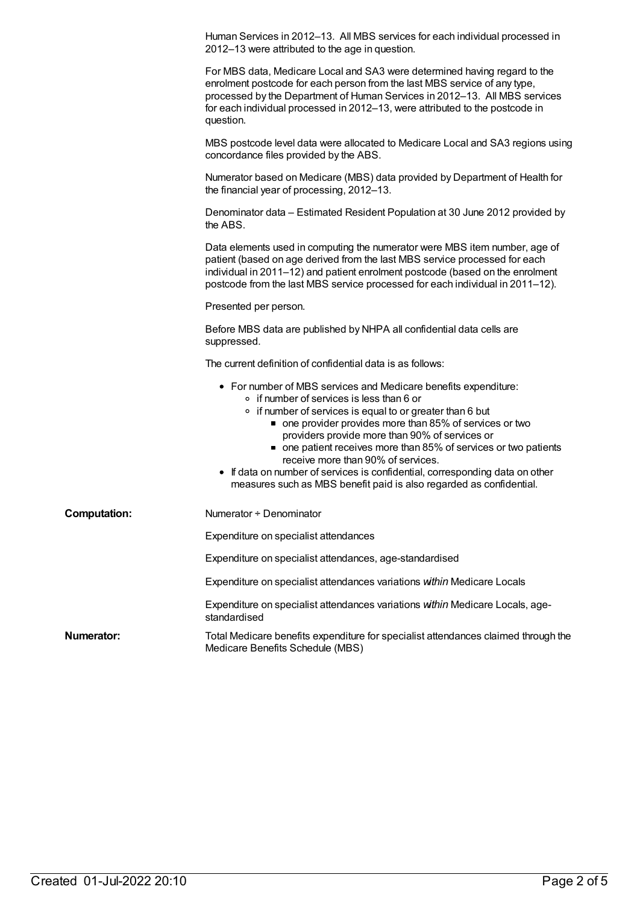|                     | Human Services in 2012-13. All MBS services for each individual processed in<br>2012-13 were attributed to the age in question.                                                                                                                                                                                                                                                                                                                                                                                                                                |
|---------------------|----------------------------------------------------------------------------------------------------------------------------------------------------------------------------------------------------------------------------------------------------------------------------------------------------------------------------------------------------------------------------------------------------------------------------------------------------------------------------------------------------------------------------------------------------------------|
|                     | For MBS data, Medicare Local and SA3 were determined having regard to the<br>enrolment postcode for each person from the last MBS service of any type,<br>processed by the Department of Human Services in 2012-13. All MBS services<br>for each individual processed in 2012-13, were attributed to the postcode in<br>question.                                                                                                                                                                                                                              |
|                     | MBS postcode level data were allocated to Medicare Local and SA3 regions using<br>concordance files provided by the ABS.                                                                                                                                                                                                                                                                                                                                                                                                                                       |
|                     | Numerator based on Medicare (MBS) data provided by Department of Health for<br>the financial year of processing, 2012-13.                                                                                                                                                                                                                                                                                                                                                                                                                                      |
|                     | Denominator data – Estimated Resident Population at 30 June 2012 provided by<br>the ABS.                                                                                                                                                                                                                                                                                                                                                                                                                                                                       |
|                     | Data elements used in computing the numerator were MBS item number, age of<br>patient (based on age derived from the last MBS service processed for each<br>individual in 2011-12) and patient enrolment postcode (based on the enrolment<br>postcode from the last MBS service processed for each individual in 2011-12).                                                                                                                                                                                                                                     |
|                     | Presented per person.                                                                                                                                                                                                                                                                                                                                                                                                                                                                                                                                          |
|                     | Before MBS data are published by NHPA all confidential data cells are<br>suppressed.                                                                                                                                                                                                                                                                                                                                                                                                                                                                           |
|                     | The current definition of confidential data is as follows:                                                                                                                                                                                                                                                                                                                                                                                                                                                                                                     |
|                     | • For number of MBS services and Medicare benefits expenditure:<br>$\circ$ if number of services is less than 6 or<br>• if number of services is equal to or greater than 6 but<br>• one provider provides more than 85% of services or two<br>providers provide more than 90% of services or<br>• one patient receives more than 85% of services or two patients<br>receive more than 90% of services.<br>• If data on number of services is confidential, corresponding data on other<br>measures such as MBS benefit paid is also regarded as confidential. |
| <b>Computation:</b> | Numerator + Denominator                                                                                                                                                                                                                                                                                                                                                                                                                                                                                                                                        |
|                     | Expenditure on specialist attendances                                                                                                                                                                                                                                                                                                                                                                                                                                                                                                                          |
|                     | Expenditure on specialist attendances, age-standardised                                                                                                                                                                                                                                                                                                                                                                                                                                                                                                        |
|                     | Expenditure on specialist attendances variations within Medicare Locals                                                                                                                                                                                                                                                                                                                                                                                                                                                                                        |
|                     | Expenditure on specialist attendances variations within Medicare Locals, age-<br>standardised                                                                                                                                                                                                                                                                                                                                                                                                                                                                  |
| Numerator:          | Total Medicare benefits expenditure for specialist attendances claimed through the<br>Medicare Benefits Schedule (MBS)                                                                                                                                                                                                                                                                                                                                                                                                                                         |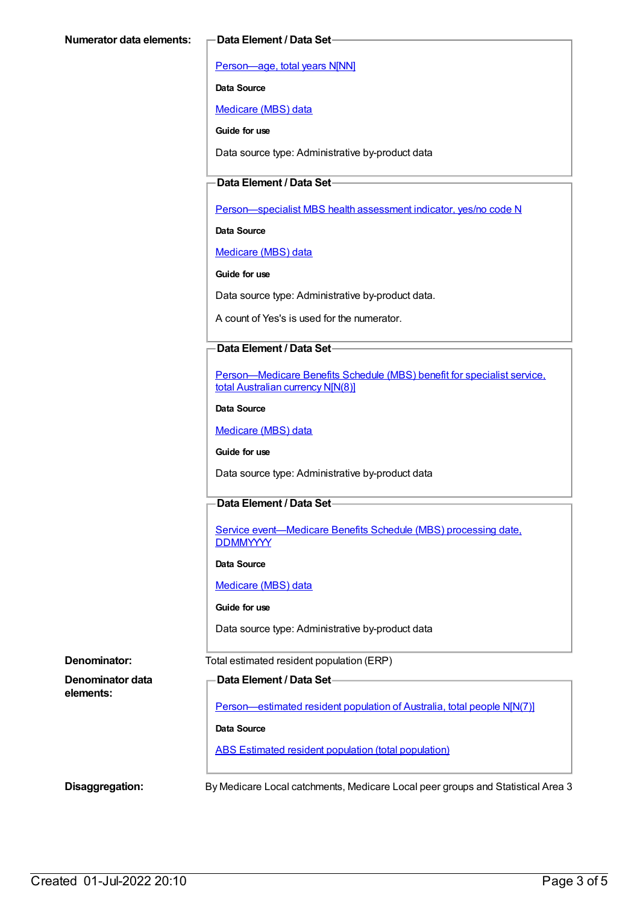[Person—age,](https://meteor.aihw.gov.au/content/303794) total years N[NN]

**Data Source**

[Medicare](https://meteor.aihw.gov.au/content/394305) (MBS) data

**Guide for use**

Data source type: Administrative by-product data

### **Data Element / Data Set**

[Person—specialist](https://meteor.aihw.gov.au/content/504845) MBS health assessment indicator, yes/no code N

**Data Source**

[Medicare](https://meteor.aihw.gov.au/content/394305) (MBS) data

**Guide for use**

Data source type: Administrative by-product data.

A count of Yes's is used for the numerator.

#### **Data Element / Data Set**

[Person—Medicare](https://meteor.aihw.gov.au/content/556892) Benefits Schedule (MBS) benefit for specialist service, total Australian currency N[N(8)]

#### **Data Source**

[Medicare](https://meteor.aihw.gov.au/content/394305) (MBS) data

**Guide for use**

Data source type: Administrative by-product data

#### **Data Element / Data Set**

Service [event—Medicare](https://meteor.aihw.gov.au/content/573414) Benefits Schedule (MBS) processing date, **DDMMYYYY** 

#### **Data Source**

[Medicare](https://meteor.aihw.gov.au/content/394305) (MBS) data

#### **Guide for use**

Data source type: Administrative by-product data

**Denominator data elements:**

**Denominator:** Total estimated resident population (ERP)

### **Data Element / Data Set**

[Person—estimated](https://meteor.aihw.gov.au/content/388656) resident population of Australia, total people N[N(7)]

**Data Source**

ABS Estimated resident population (total [population\)](https://meteor.aihw.gov.au/content/393625)

**Disaggregation:** By Medicare Local catchments, Medicare Local peer groups and Statistical Area 3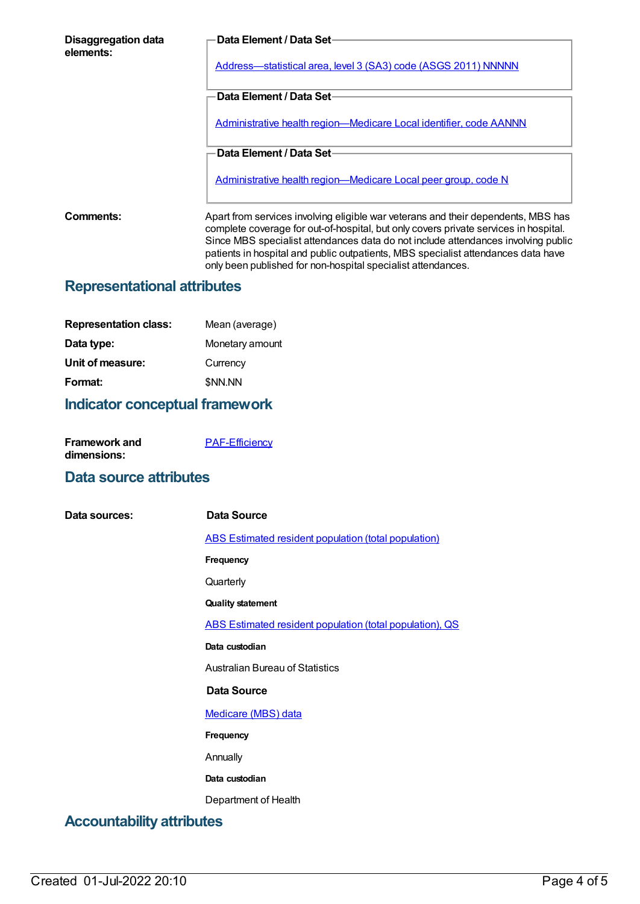| Disaggregation data<br>elements:   | Data Element / Data Set-                                                                                                                                                                                                                                                                                                                                                                                            |
|------------------------------------|---------------------------------------------------------------------------------------------------------------------------------------------------------------------------------------------------------------------------------------------------------------------------------------------------------------------------------------------------------------------------------------------------------------------|
|                                    | Address-statistical area, level 3 (SA3) code (ASGS 2011) NNNNN                                                                                                                                                                                                                                                                                                                                                      |
|                                    | Data Element / Data Set-                                                                                                                                                                                                                                                                                                                                                                                            |
|                                    | <u>Administrative health region—Medicare Local identifier, code AANNN</u>                                                                                                                                                                                                                                                                                                                                           |
|                                    | Data Element / Data Set-                                                                                                                                                                                                                                                                                                                                                                                            |
|                                    | Administrative health region—Medicare Local peer group, code N                                                                                                                                                                                                                                                                                                                                                      |
| Comments:                          | Apart from services involving eligible war veterans and their dependents, MBS has<br>complete coverage for out-of-hospital, but only covers private services in hospital.<br>Since MBS specialist attendances data do not include attendances involving public<br>patients in hospital and public outpatients, MBS specialist attendances data have<br>only been published for non-hospital specialist attendances. |
| <b>Representational attributes</b> |                                                                                                                                                                                                                                                                                                                                                                                                                     |

| Mean (average)  |
|-----------------|
| Monetary amount |
| Currency        |
| \$NN.NN         |
|                 |

# **Indicator conceptual framework**

| <b>Framework and</b> | <b>PAF-Efficiency</b> |
|----------------------|-----------------------|
| dimensions:          |                       |

# **Data source attributes**

| Data sources:                    | Data Source                                                 |
|----------------------------------|-------------------------------------------------------------|
|                                  | <b>ABS Estimated resident population (total population)</b> |
|                                  | Frequency                                                   |
|                                  | Quarterly                                                   |
|                                  | <b>Quality statement</b>                                    |
|                                  | ABS Estimated resident population (total population), QS    |
|                                  | Data custodian                                              |
|                                  | <b>Australian Bureau of Statistics</b>                      |
|                                  | Data Source                                                 |
|                                  | <b>Medicare (MBS) data</b>                                  |
|                                  | Frequency                                                   |
|                                  | Annually                                                    |
|                                  | Data custodian                                              |
|                                  | Department of Health                                        |
| <b>Accountability attributes</b> |                                                             |